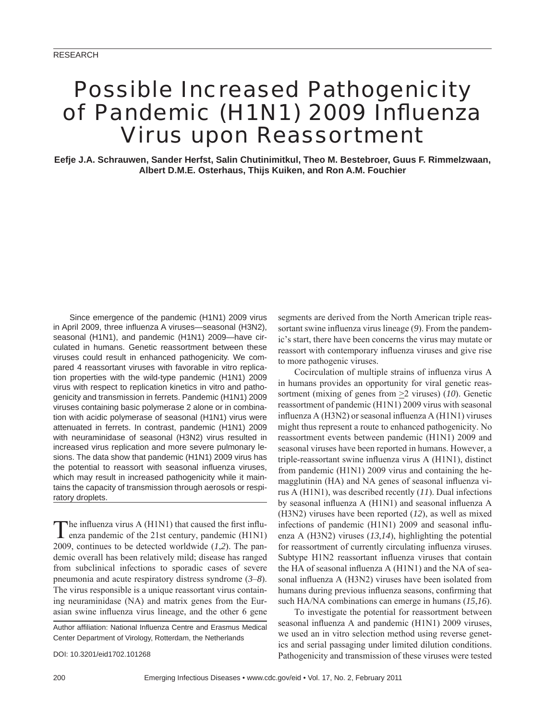# Possible Increased Pathogenicity of Pandemic (H1N1) 2009 Influenza Virus upon Reassortment

**Eefje J.A. Schrauwen, Sander Herfst, Salin Chutinimitkul, Theo M. Bestebroer, Guus F. Rimmelzwaan, Albert D.M.E. Osterhaus, Thijs Kuiken, and Ron A.M. Fouchier**

Since emergence of the pandemic (H1N1) 2009 virus in April 2009, three influenza A viruses—seasonal (H3N2), seasonal (H1N1), and pandemic (H1N1) 2009—have circulated in humans. Genetic reassortment between these viruses could result in enhanced pathogenicity. We compared 4 reassortant viruses with favorable in vitro replication properties with the wild-type pandemic (H1N1) 2009 virus with respect to replication kinetics in vitro and pathogenicity and transmission in ferrets. Pandemic (H1N1) 2009 viruses containing basic polymerase 2 alone or in combination with acidic polymerase of seasonal (H1N1) virus were attenuated in ferrets. In contrast, pandemic (H1N1) 2009 with neuraminidase of seasonal (H3N2) virus resulted in increased virus replication and more severe pulmonary lesions. The data show that pandemic (H1N1) 2009 virus has the potential to reassort with seasonal influenza viruses, which may result in increased pathogenicity while it maintains the capacity of transmission through aerosols or respiratory droplets.

The influenza virus A (H1N1) that caused the first influ-<br>enza pandemic of the 21st century, pandemic (H1N1) 2009, continues to be detected worldwide (*1*,*2*). The pandemic overall has been relatively mild; disease has ranged from subclinical infections to sporadic cases of severe pneumonia and acute respiratory distress syndrome (*3*–*8*). The virus responsible is a unique reassortant virus containing neuraminidase (NA) and matrix genes from the Eurasian swine influenza virus lineage, and the other 6 gene

Author affiliation: National Influenza Centre and Erasmus Medical Center Department of Virology, Rotterdam, the Netherlands

DOI: 10.3201/eid1702.101268

segments are derived from the North American triple reassortant swine influenza virus lineage (9). From the pandemic's start, there have been concerns the virus may mutate or reassort with contemporary influenza viruses and give rise to more pathogenic viruses.

Cocirculation of multiple strains of influenza virus A in humans provides an opportunity for viral genetic reassortment (mixing of genes from  $\geq$ 2 viruses) (10). Genetic reassortment of pandemic (H1N1) 2009 virus with seasonal influenza A (H3N2) or seasonal influenza A (H1N1) viruses might thus represent a route to enhanced pathogenicity. No reassortment events between pandemic (H1N1) 2009 and seasonal viruses have been reported in humans. However, a triple-reassortant swine influenza virus A (H1N1), distinct from pandemic (H1N1) 2009 virus and containing the hemagglutinin (HA) and NA genes of seasonal influenza virus A (H1N1), was described recently (*11*). Dual infections by seasonal influenza A (H1N1) and seasonal influenza A (H3N2) viruses have been reported (*12*), as well as mixed infections of pandemic  $(H1N1)$  2009 and seasonal influenza A (H3N2) viruses (*13*,*14*), highlighting the potential for reassortment of currently circulating influenza viruses. Subtype H1N2 reassortant influenza viruses that contain the HA of seasonal influenza  $A$  (H1N1) and the NA of seasonal influenza A (H3N2) viruses have been isolated from humans during previous influenza seasons, confirming that such HA/NA combinations can emerge in humans (*15*,*16*).

To investigate the potential for reassortment between seasonal influenza A and pandemic (H1N1) 2009 viruses, we used an in vitro selection method using reverse genetics and serial passaging under limited dilution conditions. Pathogenicity and transmission of these viruses were tested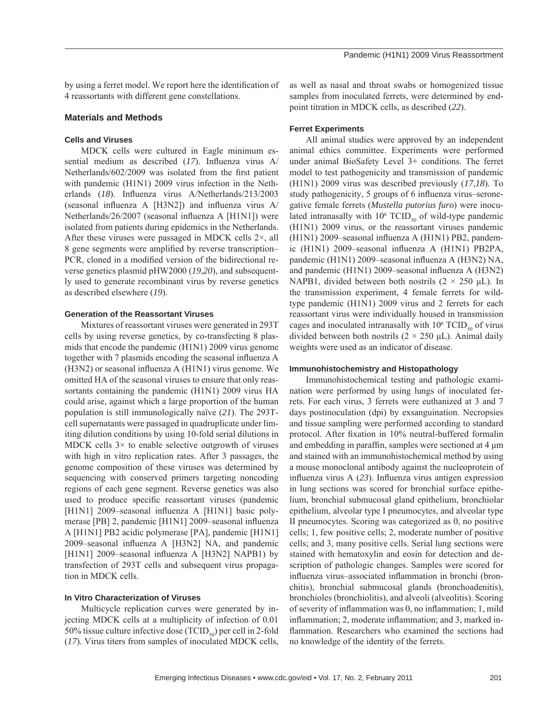by using a ferret model. We report here the identification of 4 reassortants with different gene constellations.

#### **Materials and Methods**

## **Cells and Viruses**

MDCK cells were cultured in Eagle minimum essential medium as described (17). Influenza virus A/ Netherlands/ $602/2009$  was isolated from the first patient with pandemic (H1N1) 2009 virus infection in the Netherlands (18). Influenza virus A/Netherlands/213/2003 (seasonal influenza A  $[H3N2]$ ) and influenza virus A/ Netherlands/26/2007 (seasonal influenza A [H1N1]) were isolated from patients during epidemics in the Netherlands. After these viruses were passaged in MDCK cells 2×, all 8 gene segments were amplified by reverse transcription– PCR, cloned in a modified version of the bidirectional reverse genetics plasmid pHW2000 (*19*,*20*), and subsequently used to generate recombinant virus by reverse genetics as described elsewhere (*19*).

#### **Generation of the Reassortant Viruses**

Mixtures of reassortant viruses were generated in 293T cells by using reverse genetics, by co-transfecting 8 plasmids that encode the pandemic (H1N1) 2009 virus genome together with 7 plasmids encoding the seasonal influenza A  $(H3N2)$  or seasonal influenza A  $(H1N1)$  virus genome. We omitted HA of the seasonal viruses to ensure that only reassortants containing the pandemic (H1N1) 2009 virus HA could arise, against which a large proportion of the human population is still immunologically naïve (*21*). The 293Tcell supernatants were passaged in quadruplicate under limiting dilution conditions by using 10-fold serial dilutions in MDCK cells  $3 \times$  to enable selective outgrowth of viruses with high in vitro replication rates. After 3 passages, the genome composition of these viruses was determined by sequencing with conserved primers targeting noncoding regions of each gene segment. Reverse genetics was also used to produce specific reassortant viruses (pandemic [H1N1] 2009–seasonal influenza A [H1N1] basic polymerase [PB] 2, pandemic [H1N1] 2009–seasonal influenza A [H1N1] PB2 acidic polymerase [PA], pandemic [H1N1] 2009–seasonal influenza A [H3N2] NA, and pandemic [H1N1] 2009–seasonal influenza A [H3N2] NAPB1) by transfection of 293T cells and subsequent virus propagation in MDCK cells.

#### **In Vitro Characterization of Viruses**

Multicycle replication curves were generated by injecting MDCK cells at a multiplicity of infection of 0.01 50% tissue culture infective dose (TCID $_{50}$ ) per cell in 2-fold (*17*). Virus titers from samples of inoculated MDCK cells, as well as nasal and throat swabs or homogenized tissue samples from inoculated ferrets, were determined by endpoint titration in MDCK cells, as described (*22*).

## **Ferret Experiments**

All animal studies were approved by an independent animal ethics committee. Experiments were performed under animal BioSafety Level 3+ conditions. The ferret model to test pathogenicity and transmission of pandemic (H1N1) 2009 virus was described previously (*17*,*18*). To study pathogenicity, 5 groups of 6 influenza virus–seronegative female ferrets (*Mustella putorius furo*) were inoculated intranasally with  $10^6$  TCID<sub>50</sub> of wild-type pandemic (H1N1) 2009 virus, or the reassortant viruses pandemic (H1N1) 2009-seasonal influenza A (H1N1) PB2, pandemic (H1N1) 2009–seasonal influenza A (H1N1) PB2PA, pandemic (H1N1) 2009–seasonal influenza A (H3N2) NA, and pandemic (H1N1) 2009–seasonal influenza A (H3N2) NAPB1, divided between both nostrils  $(2 \times 250 \text{ µL})$ . In the transmission experiment, 4 female ferrets for wildtype pandemic (H1N1) 2009 virus and 2 ferrets for each reassortant virus were individually housed in transmission cages and inoculated intranasally with  $10^6$  TCID<sub>50</sub> of virus divided between both nostrils  $(2 \times 250 \mu L)$ . Animal daily weights were used as an indicator of disease.

#### **Immunohistochemistry and Histopathology**

Immunohistochemical testing and pathologic examination were performed by using lungs of inoculated ferrets. For each virus, 3 ferrets were euthanized at 3 and 7 days postinoculation (dpi) by exsanguination. Necropsies and tissue sampling were performed according to standard protocol. After fixation in 10% neutral-buffered formalin and embedding in paraffin, samples were sectioned at  $4 \mu m$ and stained with an immunohistochemical method by using a mouse monoclonal antibody against the nucleoprotein of influenza virus A (23). Influenza virus antigen expression in lung sections was scored for bronchial surface epithelium, bronchial submucosal gland epithelium, bronchiolar epithelium, alveolar type I pneumocytes, and alveolar type II pneumocytes. Scoring was categorized as 0, no positive cells; 1, few positive cells; 2, moderate number of positive cells; and 3, many positive cells. Serial lung sections were stained with hematoxylin and eosin for detection and description of pathologic changes. Samples were scored for influenza virus–associated inflammation in bronchi (bronchitis), bronchial submucosal glands (bronchoadenitis), bronchioles (bronchiolitis), and alveoli (alveolitis). Scoring of severity of inflammation was 0, no inflammation; 1, mild inflammation; 2, moderate inflammation; and 3, marked inflammation. Researchers who examined the sections had no knowledge of the identity of the ferrets.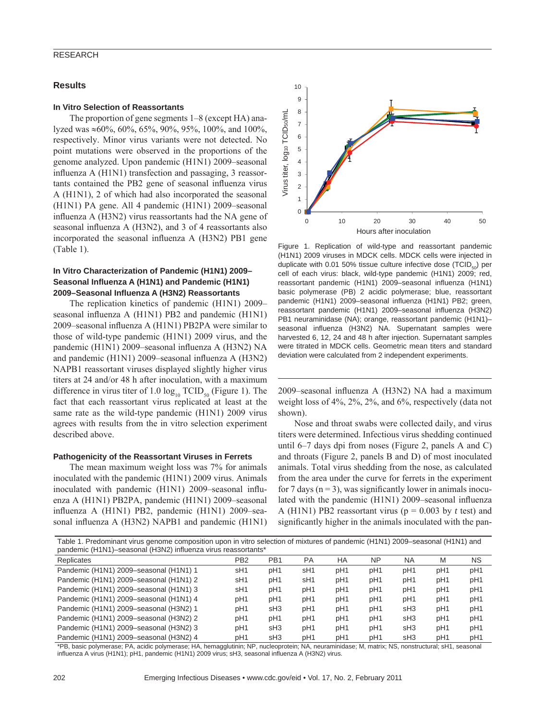### **Results**

#### **In Vitro Selection of Reassortants**

The proportion of gene segments 1–8 (except HA) analyzed was ≈60%, 60%, 65%, 90%, 95%, 100%, and 100%, respectively. Minor virus variants were not detected. No point mutations were observed in the proportions of the genome analyzed. Upon pandemic (H1N1) 2009–seasonal influenza  $A$  (H1N1) transfection and passaging, 3 reassortants contained the PB2 gene of seasonal influenza virus A (H1N1), 2 of which had also incorporated the seasonal (H1N1) PA gene. All 4 pandemic (H1N1) 2009–seasonal influenza A (H3N2) virus reassortants had the NA gene of seasonal influenza A (H3N2), and 3 of 4 reassortants also incorporated the seasonal influenza A (H3N2) PB1 gene (Table 1).

## **In Vitro Characterization of Pandemic (H1N1) 2009–** Seasonal Influenza A (H1N1) and Pandemic (H1N1) **2009–Seasonal Infl uenza A (H3N2) Reassortants**

The replication kinetics of pandemic (H1N1) 2009– seasonal influenza A (H1N1) PB2 and pandemic (H1N1) 2009–seasonal influenza A (H1N1) PB2PA were similar to those of wild-type pandemic (H1N1) 2009 virus, and the pandemic (H1N1) 2009–seasonal influenza A (H3N2) NA and pandemic  $(H1N1)$  2009–seasonal influenza A  $(H3N2)$ NAPB1 reassortant viruses displayed slightly higher virus titers at 24 and/or 48 h after inoculation, with a maximum difference in virus titer of 1.0  $log_{10}$  TCID<sub>50</sub> (Figure 1). The fact that each reassortant virus replicated at least at the same rate as the wild-type pandemic (H1N1) 2009 virus agrees with results from the in vitro selection experiment described above.

## **Pathogenicity of the Reassortant Viruses in Ferrets**

The mean maximum weight loss was 7% for animals inoculated with the pandemic (H1N1) 2009 virus. Animals inoculated with pandemic (H1N1) 2009–seasonal influenza A (H1N1) PB2PA, pandemic (H1N1) 2009–seasonal influenza A (H1N1) PB2, pandemic (H1N1) 2009–seasonal influenza A (H3N2) NAPB1 and pandemic (H1N1)



Figure 1. Replication of wild-type and reassortant pandemic (H1N1) 2009 viruses in MDCK cells. MDCK cells were injected in duplicate with 0.01 50% tissue culture infective dose (TCID $_{50}$ ) per cell of each virus: black, wild-type pandemic (H1N1) 2009; red, reassortant pandemic (H1N1) 2009–seasonal influenza (H1N1) basic polymerase (PB) 2 acidic polymerase; blue, reassortant pandemic (H1N1) 2009–seasonal influenza (H1N1) PB2; green, reassortant pandemic (H1N1) 2009–seasonal influenza (H3N2) PB1 neuraminidase (NA); orange, reassortant pandemic (H1N1)– seasonal influenza (H3N2) NA. Supernatant samples were harvested 6, 12, 24 and 48 h after injection. Supernatant samples were titrated in MDCK cells. Geometric mean titers and standard deviation were calculated from 2 independent experiments.

2009–seasonal influenza A (H3N2) NA had a maximum weight loss of 4%, 2%, 2%, and 6%, respectively (data not shown).

Nose and throat swabs were collected daily, and virus titers were determined. Infectious virus shedding continued until 6–7 days dpi from noses (Figure 2, panels A and C) and throats (Figure 2, panels B and D) of most inoculated animals. Total virus shedding from the nose, as calculated from the area under the curve for ferrets in the experiment for 7 days  $(n = 3)$ , was significantly lower in animals inoculated with the pandemic  $(H1N1)$  2009–seasonal influenza A (H1N1) PB2 reassortant virus ( $p = 0.003$  by *t* test) and significantly higher in the animals inoculated with the pan-

| Table 1. Predominant virus genome composition upon in vitro selection of mixtures of pandemic (H1N1) 2009–seasonal (H1N1) and |     |                 |    |    |     |           |  |    |
|-------------------------------------------------------------------------------------------------------------------------------|-----|-----------------|----|----|-----|-----------|--|----|
| pandemic (H1N1)-seasonal (H3N2) influenza virus reassortants*                                                                 |     |                 |    |    |     |           |  |    |
| Replicates                                                                                                                    | PB2 | PR <sub>1</sub> | PA | HA | NP. | <b>NA</b> |  | NS |

| Replicates                             | PB2             | PB1 | PА              | ΗA              | NΡ              | NΑ              | M               | NS.             |
|----------------------------------------|-----------------|-----|-----------------|-----------------|-----------------|-----------------|-----------------|-----------------|
| Pandemic (H1N1) 2009-seasonal (H1N1) 1 | sH <sub>1</sub> | pH1 | sH <sub>1</sub> | pH <sub>1</sub> | pH1             | pH1             | pH1             | pH <sub>1</sub> |
| Pandemic (H1N1) 2009-seasonal (H1N1) 2 | sH <sub>1</sub> | pH1 | sH <sub>1</sub> | pH1             | pH <sub>1</sub> | pH1             | pH <sub>1</sub> | pH <sub>1</sub> |
| Pandemic (H1N1) 2009-seasonal (H1N1) 3 | sH1             | pH1 | pH1             | pH1             | pH <sub>1</sub> | pH <sub>1</sub> | pH1             | pH <sub>1</sub> |
| Pandemic (H1N1) 2009-seasonal (H1N1) 4 | pH1             | pH1 | pH1             | pH1             | pH <sub>1</sub> | pH1             | pH <sub>1</sub> | pH <sub>1</sub> |
| Pandemic (H1N1) 2009-seasonal (H3N2) 1 | pH1             | sH3 | pH1             | pH1             | pH1             | sH3             | pH <sub>1</sub> | pH <sub>1</sub> |
| Pandemic (H1N1) 2009-seasonal (H3N2) 2 | pH1             | pH1 | pH1             | pH1             | pH1             | sH3             | pH1             | pH <sub>1</sub> |
| Pandemic (H1N1) 2009-seasonal (H3N2) 3 | pH1             | sH3 | pH1             | pH1             | pH1             | sH3             | pH1             | pH <sub>1</sub> |
| Pandemic (H1N1) 2009-seasonal (H3N2) 4 | pH1             | sH3 | pH1             | pH1             | pH1             | sH <sub>3</sub> | pH1             | pH <sub>1</sub> |

\*PB, basic polymerase; PA, acidic polymerase; HA, hemagglutinin; NP, nucleoprotein; NA, neuraminidase; M, matrix; NS, nonstructural; sH1, seasonal influenza A virus (H1N1); pH1, pandemic (H1N1) 2009 virus; sH3, seasonal influenza A (H3N2) virus.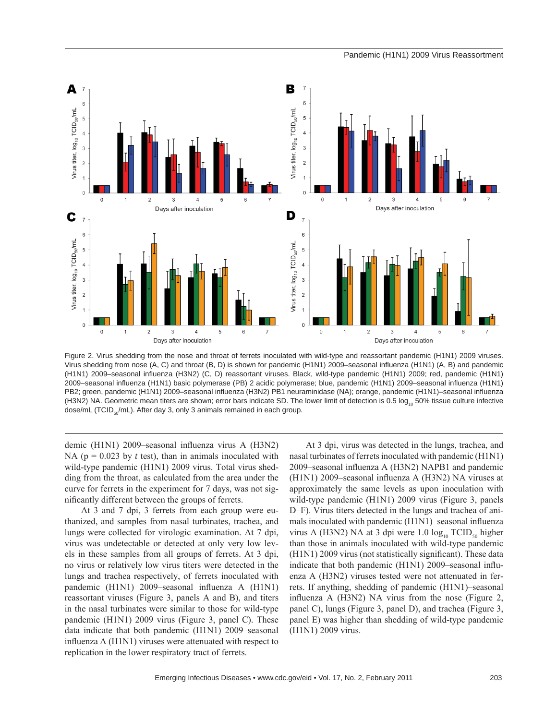

Figure 2. Virus shedding from the nose and throat of ferrets inoculated with wild-type and reassortant pandemic (H1N1) 2009 viruses. Virus shedding from nose (A, C) and throat (B, D) is shown for pandemic (H1N1) 2009–seasonal influenza (H1N1) (A, B) and pandemic (H1N1) 2009–seasonal influenza (H3N2) (C, D) reassortant viruses. Black, wild-type pandemic (H1N1) 2009; red, pandemic (H1N1) 2009–seasonal influenza (H1N1) basic polymerase (PB) 2 acidic polymerase; blue, pandemic (H1N1) 2009–seasonal influenza (H1N1) PB2; green, pandemic (H1N1) 2009–seasonal influenza (H3N2) PB1 neuraminidase (NA); orange, pandemic (H1N1)–seasonal influenza (H3N2) NA. Geometric mean titers are shown; error bars indicate SD. The lower limit of detection is 0.5 log<sub>10</sub> 50% tissue culture infective dose/mL (TCID<sub>50</sub>/mL). After day 3, only 3 animals remained in each group.

demic (H1N1) 2009–seasonal influenza virus A (H3N2) NA ( $p = 0.023$  by *t* test), than in animals inoculated with wild-type pandemic (H1N1) 2009 virus. Total virus shedding from the throat, as calculated from the area under the curve for ferrets in the experiment for 7 days, was not significantly different between the groups of ferrets.

At 3 and 7 dpi, 3 ferrets from each group were euthanized, and samples from nasal turbinates, trachea, and lungs were collected for virologic examination. At 7 dpi, virus was undetectable or detected at only very low levels in these samples from all groups of ferrets. At 3 dpi, no virus or relatively low virus titers were detected in the lungs and trachea respectively, of ferrets inoculated with pandemic  $(H1N1)$  2009–seasonal influenza A  $(H1N1)$ reassortant viruses (Figure 3, panels A and B), and titers in the nasal turbinates were similar to those for wild-type pandemic (H1N1) 2009 virus (Figure 3, panel C). These data indicate that both pandemic (H1N1) 2009–seasonal influenza  $A$  (H1N1) viruses were attenuated with respect to replication in the lower respiratory tract of ferrets.

At 3 dpi, virus was detected in the lungs, trachea, and nasal turbinates of ferrets inoculated with pandemic (H1N1) 2009–seasonal influenza A (H3N2) NAPB1 and pandemic  $(H1N1)$  2009–seasonal influenza A  $(H3N2)$  NA viruses at approximately the same levels as upon inoculation with wild-type pandemic (H1N1) 2009 virus (Figure 3, panels D–F). Virus titers detected in the lungs and trachea of animals inoculated with pandemic (H1N1)–seasonal influenza virus A (H3N2) NA at 3 dpi were  $1.0 \log_{10} TCID_{50}$  higher than those in animals inoculated with wild-type pandemic  $(H1N1)$  2009 virus (not statistically significant). These data indicate that both pandemic  $(H1N1)$  2009–seasonal influenza A (H3N2) viruses tested were not attenuated in ferrets. If anything, shedding of pandemic (H1N1)–seasonal influenza A  $(H3N2)$  NA virus from the nose (Figure 2, panel C), lungs (Figure 3, panel D), and trachea (Figure 3, panel E) was higher than shedding of wild-type pandemic (H1N1) 2009 virus.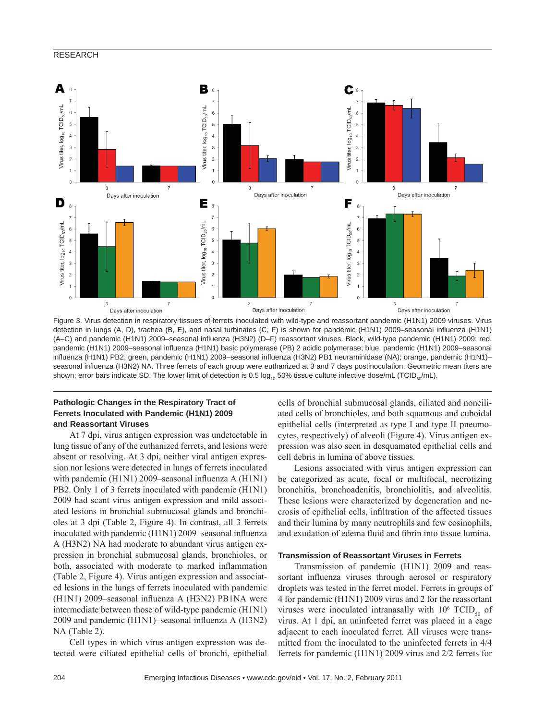

Figure 3. Virus detection in respiratory tissues of ferrets inoculated with wild-type and reassortant pandemic (H1N1) 2009 viruses. Virus detection in lungs (A, D), trachea (B, E), and nasal turbinates (C, F) is shown for pandemic (H1N1) 2009–seasonal influenza (H1N1) (A–C) and pandemic (H1N1) 2009–seasonal influenza (H3N2) (D–F) reassortant viruses. Black, wild-type pandemic (H1N1) 2009; red, pandemic (H1N1) 2009–seasonal influenza (H1N1) basic polymerase (PB) 2 acidic polymerase; blue, pandemic (H1N1) 2009–seasonal influenza (H1N1) PB2; green, pandemic (H1N1) 2009–seasonal influenza (H3N2) PB1 neuraminidase (NA); orange, pandemic (H1N1)– seasonal influenza (H3N2) NA. Three ferrets of each group were euthanized at 3 and 7 days postinoculation. Geometric mean titers are shown; error bars indicate SD. The lower limit of detection is 0.5  $log_{10}$  50% tissue culture infective dose/mL (TCID<sub>50</sub>/mL).

## **Pathologic Changes in the Respiratory Tract of Ferrets Inoculated with Pandemic (H1N1) 2009 and Reassortant Viruses**

At 7 dpi, virus antigen expression was undetectable in lung tissue of any of the euthanized ferrets, and lesions were absent or resolving. At 3 dpi, neither viral antigen expression nor lesions were detected in lungs of ferrets inoculated with pandemic  $(H1N1)$  2009–seasonal influenza A  $(H1N1)$ PB2. Only 1 of 3 ferrets inoculated with pandemic (H1N1) 2009 had scant virus antigen expression and mild associated lesions in bronchial submucosal glands and bronchioles at 3 dpi (Table 2, Figure 4). In contrast, all 3 ferrets inoculated with pandemic (H1N1) 2009–seasonal influenza A (H3N2) NA had moderate to abundant virus antigen expression in bronchial submucosal glands, bronchioles, or both, associated with moderate to marked inflammation (Table 2, Figure 4). Virus antigen expression and associated lesions in the lungs of ferrets inoculated with pandemic (H1N1) 2009–seasonal influenza A (H3N2) PB1NA were intermediate between those of wild-type pandemic (H1N1) 2009 and pandemic (H1N1)–seasonal influenza A (H3N2) NA (Table 2).

Cell types in which virus antigen expression was detected were ciliated epithelial cells of bronchi, epithelial cells of bronchial submucosal glands, ciliated and nonciliated cells of bronchioles, and both squamous and cuboidal epithelial cells (interpreted as type I and type II pneumocytes, respectively) of alveoli (Figure 4). Virus antigen expression was also seen in desquamated epithelial cells and cell debris in lumina of above tissues.

Lesions associated with virus antigen expression can be categorized as acute, focal or multifocal, necrotizing bronchitis, bronchoadenitis, bronchiolitis, and alveolitis. These lesions were characterized by degeneration and necrosis of epithelial cells, infiltration of the affected tissues and their lumina by many neutrophils and few eosinophils, and exudation of edema fluid and fibrin into tissue lumina.

## **Transmission of Reassortant Viruses in Ferrets**

Transmission of pandemic (H1N1) 2009 and reassortant influenza viruses through aerosol or respiratory droplets was tested in the ferret model. Ferrets in groups of 4 for pandemic (H1N1) 2009 virus and 2 for the reassortant viruses were inoculated intranasally with  $10^6$  TCID<sub>50</sub> of virus. At 1 dpi, an uninfected ferret was placed in a cage adjacent to each inoculated ferret. All viruses were transmitted from the inoculated to the uninfected ferrets in 4/4 ferrets for pandemic (H1N1) 2009 virus and 2/2 ferrets for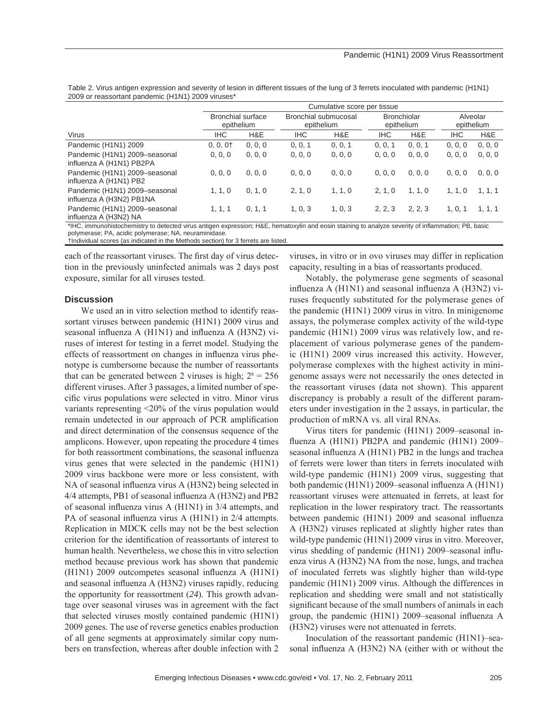|                                                           | Cumulative score per tissue            |         |                                    |         |                                  |         |                        |         |
|-----------------------------------------------------------|----------------------------------------|---------|------------------------------------|---------|----------------------------------|---------|------------------------|---------|
|                                                           | <b>Bronchial surface</b><br>epithelium |         | Bronchial submucosal<br>epithelium |         | <b>Bronchiolar</b><br>epithelium |         | Alveolar<br>epithelium |         |
| <b>Virus</b>                                              | <b>IHC</b>                             | H&E     | <b>IHC</b>                         | H&E     | <b>IHC</b>                       | H&E     | <b>IHC</b>             | H&E     |
| Pandemic (H1N1) 2009                                      | $0, 0, 0+$                             | 0, 0, 0 | 0, 0, 1                            | 0, 0, 1 | 0, 0, 1                          | 0, 0, 1 | 0, 0, 0                | 0, 0, 0 |
| Pandemic (H1N1) 2009-seasonal<br>influenza A (H1N1) PB2PA | 0, 0, 0                                | 0, 0, 0 | 0, 0, 0                            | 0, 0, 0 | 0, 0, 0                          | 0, 0, 0 | 0, 0, 0                | 0, 0, 0 |
| Pandemic (H1N1) 2009-seasonal<br>influenza A (H1N1) PB2   | 0, 0, 0                                | 0, 0, 0 | 0, 0, 0                            | 0, 0, 0 | 0, 0, 0                          | 0, 0, 0 | 0, 0, 0                | 0, 0, 0 |
| Pandemic (H1N1) 2009-seasonal<br>influenza A (H3N2) PB1NA | 1, 1, 0                                | 0, 1, 0 | 2, 1, 0                            | 1, 1, 0 | 2, 1, 0                          | 1, 1, 0 | 1, 1, 0                | 1, 1, 1 |
| Pandemic (H1N1) 2009-seasonal<br>influenza A (H3N2) NA    | 1, 1, 1                                | 0, 1, 1 | 1, 0, 3                            | 1, 0, 3 | 2, 2, 3                          | 2, 2, 3 | 1.0.1                  | 1, 1, 1 |

Table 2. Virus antigen expression and severity of lesion in different tissues of the lung of 3 ferrets inoculated with pandemic (H1N1) 2009 or reassortant pandemic (H1N1) 2009 viruses\*

\*IHC, immunohistochemistry to detected virus antigen expression; H&E, hematoxylin and eosin staining to analyze severity of inflammation; PB, basic polymerase; PA, acidic polymerase; NA, neuraminidase.

†Individual scores (as indicated in the Methods section) for 3 ferrets are listed.

each of the reassortant viruses. The first day of virus detection in the previously uninfected animals was 2 days post exposure, similar for all viruses tested.

## **Discussion**

We used an in vitro selection method to identify reassortant viruses between pandemic (H1N1) 2009 virus and seasonal influenza A  $(H1N1)$  and influenza A  $(H3N2)$  viruses of interest for testing in a ferret model. Studying the effects of reassortment on changes in influenza virus phenotype is cumbersome because the number of reassortants that can be generated between 2 viruses is high;  $2^8 = 256$ different viruses. After 3 passages, a limited number of specific virus populations were selected in vitro. Minor virus variants representing <20% of the virus population would remain undetected in our approach of PCR amplification and direct determination of the consensus sequence of the amplicons. However, upon repeating the procedure 4 times for both reassortment combinations, the seasonal influenza virus genes that were selected in the pandemic (H1N1) 2009 virus backbone were more or less consistent, with NA of seasonal influenza virus A (H3N2) being selected in 4/4 attempts, PB1 of seasonal influenza A (H3N2) and PB2 of seasonal influenza virus A  $(H1N1)$  in 3/4 attempts, and PA of seasonal influenza virus A (H1N1) in 2/4 attempts. Replication in MDCK cells may not be the best selection criterion for the identification of reassortants of interest to human health. Nevertheless, we chose this in vitro selection method because previous work has shown that pandemic  $(H1N1)$  2009 outcompetes seasonal influenza A  $(H1N1)$ and seasonal influenza A (H3N2) viruses rapidly, reducing the opportunity for reassortment (*24*). This growth advantage over seasonal viruses was in agreement with the fact that selected viruses mostly contained pandemic (H1N1) 2009 genes. The use of reverse genetics enables production of all gene segments at approximately similar copy numbers on transfection, whereas after double infection with 2

viruses, in vitro or in ovo viruses may differ in replication capacity, resulting in a bias of reassortants produced.

Notably, the polymerase gene segments of seasonal influenza A ( $H1N1$ ) and seasonal influenza A ( $H3N2$ ) viruses frequently substituted for the polymerase genes of the pandemic (H1N1) 2009 virus in vitro*.* In minigenome assays, the polymerase complex activity of the wild-type pandemic (H1N1) 2009 virus was relatively low, and replacement of various polymerase genes of the pandemic (H1N1) 2009 virus increased this activity. However, polymerase complexes with the highest activity in minigenome assays were not necessarily the ones detected in the reassortant viruses (data not shown). This apparent discrepancy is probably a result of the different parameters under investigation in the 2 assays, in particular, the production of mRNA vs. all viral RNAs.

Virus titers for pandemic (H1N1) 2009–seasonal influenza A ( $H1N1$ ) PB2PA and pandemic  $(H1N1)$  2009– seasonal influenza A (H1N1) PB2 in the lungs and trachea of ferrets were lower than titers in ferrets inoculated with wild-type pandemic (H1N1) 2009 virus, suggesting that both pandemic (H1N1) 2009–seasonal influenza A (H1N1) reassortant viruses were attenuated in ferrets, at least for replication in the lower respiratory tract. The reassortants between pandemic (H1N1) 2009 and seasonal influenza A (H3N2) viruses replicated at slightly higher rates than wild-type pandemic (H1N1) 2009 virus in vitro. Moreover, virus shedding of pandemic (H1N1) 2009–seasonal influenza virus A (H3N2) NA from the nose, lungs, and trachea of inoculated ferrets was slightly higher than wild-type pandemic (H1N1) 2009 virus. Although the differences in replication and shedding were small and not statistically significant because of the small numbers of animals in each group, the pandemic  $(H1N1)$  2009–seasonal influenza A (H3N2) viruses were not attenuated in ferrets.

Inoculation of the reassortant pandemic (H1N1)–seasonal influenza A (H3N2) NA (either with or without the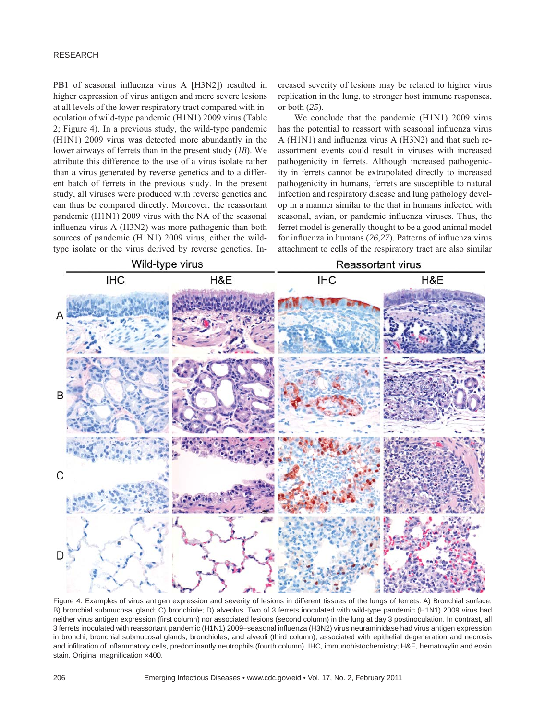PB1 of seasonal influenza virus A [H3N2]) resulted in higher expression of virus antigen and more severe lesions at all levels of the lower respiratory tract compared with inoculation of wild-type pandemic (H1N1) 2009 virus (Table 2; Figure 4). In a previous study, the wild-type pandemic (H1N1) 2009 virus was detected more abundantly in the lower airways of ferrets than in the present study (*18*). We attribute this difference to the use of a virus isolate rather than a virus generated by reverse genetics and to a different batch of ferrets in the previous study. In the present study, all viruses were produced with reverse genetics and can thus be compared directly. Moreover, the reassortant pandemic (H1N1) 2009 virus with the NA of the seasonal influenza virus A (H3N2) was more pathogenic than both sources of pandemic (H1N1) 2009 virus, either the wildtype isolate or the virus derived by reverse genetics. Increased severity of lesions may be related to higher virus replication in the lung, to stronger host immune responses, or both (*25*).

We conclude that the pandemic (H1N1) 2009 virus has the potential to reassort with seasonal influenza virus A ( $H1N1$ ) and influenza virus A ( $H3N2$ ) and that such reassortment events could result in viruses with increased pathogenicity in ferrets. Although increased pathogenicity in ferrets cannot be extrapolated directly to increased pathogenicity in humans, ferrets are susceptible to natural infection and respiratory disease and lung pathology develop in a manner similar to the that in humans infected with seasonal, avian, or pandemic influenza viruses. Thus, the ferret model is generally thought to be a good animal model for influenza in humans (26,27). Patterns of influenza virus attachment to cells of the respiratory tract are also similar



Figure 4. Examples of virus antigen expression and severity of lesions in different tissues of the lungs of ferrets. A) Bronchial surface; B) bronchial submucosal gland; C) bronchiole; D) alveolus. Two of 3 ferrets inoculated with wild-type pandemic (H1N1) 2009 virus had neither virus antigen expression (first column) nor associated lesions (second column) in the lung at day 3 postinoculation. In contrast, all 3 ferrets inoculated with reassortant pandemic (H1N1) 2009–seasonal influenza (H3N2) virus neuraminidase had virus antigen expression in bronchi, bronchial submucosal glands, bronchioles, and alveoli (third column), associated with epithelial degeneration and necrosis and infiltration of inflammatory cells, predominantly neutrophils (fourth column). IHC, immunohistochemistry; H&E, hematoxylin and eosin stain. Original magnification x400.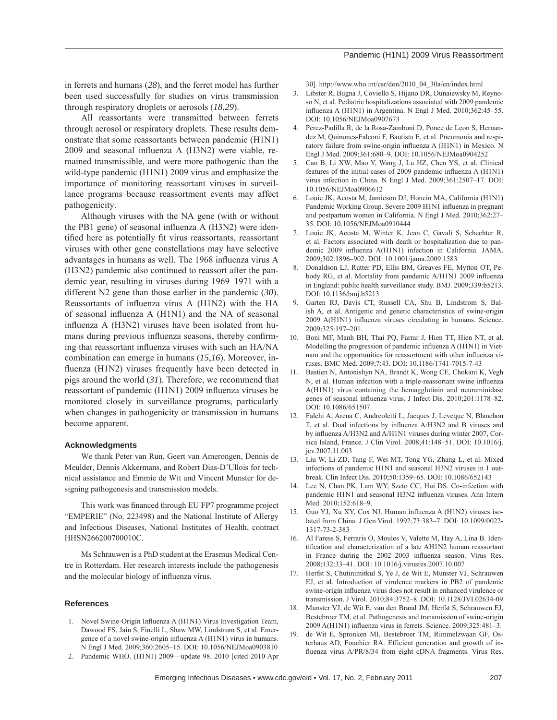in ferrets and humans (*28*), and the ferret model has further been used successfully for studies on virus transmission through respiratory droplets or aerosols (*18*,*29*).

All reassortants were transmitted between ferrets through aerosol or respiratory droplets. These results demonstrate that some reassortants between pandemic (H1N1)  $2009$  and seasonal influenza A (H3N2) were viable, remained transmissible, and were more pathogenic than the wild-type pandemic (H1N1) 2009 virus and emphasize the importance of monitoring reassortant viruses in surveillance programs because reassortment events may affect pathogenicity.

Although viruses with the NA gene (with or without the PB1 gene) of seasonal influenza  $A$  (H3N2) were identified here as potentially fit virus reassortants, reassortant viruses with other gene constellations may have selective advantages in humans as well. The 1968 influenza virus A (H3N2) pandemic also continued to reassort after the pandemic year, resulting in viruses during 1969–1971 with a different N2 gene than those earlier in the pandemic (*30*). Reassortants of influenza virus A (H1N2) with the HA of seasonal influenza  $A$  (H1N1) and the NA of seasonal influenza A (H3N2) viruses have been isolated from humans during previous influenza seasons, thereby confirming that reassortant influenza viruses with such an HA/NA combination can emerge in humans (*15*,*16*). Moreover, influenza (H1N2) viruses frequently have been detected in pigs around the world (*31*). Therefore, we recommend that reassortant of pandemic (H1N1) 2009 influenza viruses be monitored closely in surveillance programs, particularly when changes in pathogenicity or transmission in humans become apparent.

## **Acknowledgments**

We thank Peter van Run, Geert van Amerongen, Dennis de Meulder, Dennis Akkermans, and Robert Dias-D'Ullois for technical assistance and Emmie de Wit and Vincent Munster for designing pathogenesis and transmission models.

This work was financed through EU FP7 programme project "EMPERIE" (No. 223498) and the National Institute of Allergy and Infectious Diseases, National Institutes of Health, contract HHSN266200700010C.

Ms Schrauwen is a PhD student at the Erasmus Medical Centre in Rotterdam. Her research interests include the pathogenesis and the molecular biology of influenza virus.

#### **References**

- 1. Novel Swine-Origin Influenza A (H1N1) Virus Investigation Team, Dawood FS, Jain S, Finelli L, Shaw MW, Lindstrom S, et al. Emergence of a novel swine-origin influenza A (H1N1) virus in humans. N Engl J Med. 2009;360:2605–15. DOI: 10.1056/NEJMoa0903810
- 2. Pandemic WHO. (H1N1) 2009—update 98. 2010 [cited 2010 Apr

30]. http://www.who.int/csr/don/2010\_04\_30a/en/index.html

- 3. Libster R, Bugna J, Coviello S, Hijano DR, Dunaiewsky M, Reynoso N, et al. Pediatric hospitalizations associated with 2009 pandemic influenza A (H1N1) in Argentina. N Engl J Med. 2010;362:45–55. DOI: 10.1056/NEJMoa0907673
- 4. Perez-Padilla R, de la Rosa-Zamboni D, Ponce de Leon S, Hernandez M, Quinones-Falconi F, Bautista E, et al. Pneumonia and respiratory failure from swine-origin influenza A (H1N1) in Mexico. N Engl J Med. 2009;361:680–9. DOI: 10.1056/NEJMoa0904252
- 5. Cao B, Li XW, Mao Y, Wang J, Lu HZ, Chen YS, et al. Clinical features of the initial cases of 2009 pandemic influenza A (H1N1) virus infection in China. N Engl J Med. 2009;361:2507–17. DOI: 10.1056/NEJMoa0906612
- 6. Louie JK, Acosta M, Jamieson DJ, Honein MA, California (H1N1) Pandemic Working Group. Severe 2009 H1N1 influenza in pregnant and postpartum women in California. N Engl J Med. 2010;362:27– 35. DOI: 10.1056/NEJMoa0910444
- 7. Louie JK, Acosta M, Winter K, Jean C, Gavali S, Schechter R, et al. Factors associated with death or hospitalization due to pandemic 2009 influenza A(H1N1) infection in California. JAMA. 2009;302:1896–902. DOI: 10.1001/jama.2009.1583
- 8. Donaldson LJ, Rutter PD, Ellis BM, Greaves FE, Mytton OT, Pebody RG, et al. Mortality from pandemic A/H1N1 2009 influenza in England: public health surveillance study. BMJ. 2009;339:b5213. DOI: 10.1136/bmj.b5213
- 9. Garten RJ, Davis CT, Russell CA, Shu B, Lindstrom S, Balish A, et al. Antigenic and genetic characteristics of swine-origin 2009 A(H1N1) influenza viruses circulating in humans. Science. 2009;325:197–201.
- 10. Boni MF, Manh BH, Thai PQ, Farrar J, Hien TT, Hien NT, et al. Modelling the progression of pandemic influenza A (H1N1) in Vietnam and the opportunities for reassortment with other influenza viruses. BMC Med. 2009;7:43. DOI: 10.1186/1741-7015-7-43
- 11. Bastien N, Antonishyn NA, Brandt K, Wong CE, Chokani K, Vegh N, et al. Human infection with a triple-reassortant swine influenza A(H1N1) virus containing the hemagglutinin and neuraminidase genes of seasonal influenza virus. J Infect Dis. 2010;201:1178-82. DOI: 10.1086/651507
- 12. Falchi A, Arena C, Andreoletti L, Jacques J, Leveque N, Blanchon T, et al. Dual infections by influenza A/H3N2 and B viruses and by influenza A/H3N2 and A/H1N1 viruses during winter 2007, Corsica Island, France. J Clin Virol. 2008;41:148–51. DOI: 10.1016/j. jcv.2007.11.003
- 13. Liu W, Li ZD, Tang F, Wei MT, Tong YG, Zhang L, et al. Mixed infections of pandemic H1N1 and seasonal H3N2 viruses in 1 outbreak. Clin Infect Dis. 2010;50:1359–65. DOI: 10.1086/652143
- 14. Lee N, Chan PK, Lam WY, Szeto CC, Hui DS. Co-infection with pandemic H1N1 and seasonal H3N2 influenza viruses. Ann Intern Med. 2010;152:618–9.
- 15. Guo YJ, Xu XY, Cox NJ. Human influenza A (H1N2) viruses isolated from China. J Gen Virol. 1992;73:383–7. DOI: 10.1099/0022- 1317-73-2-383
- 16. Al Faress S, Ferraris O, Moules V, Valette M, Hay A, Lina B. Identification and characterization of a late AH1N2 human reassortant in France during the 2002–2003 influenza season. Virus Res. 2008;132:33–41. DOI: 10.1016/j.virusres.2007.10.007
- 17. Herfst S, Chutinimitkul S, Ye J, de Wit E, Munster VJ, Schrauwen EJ, et al. Introduction of virulence markers in PB2 of pandemic swine-origin influenza virus does not result in enhanced virulence or transmission. J Virol. 2010;84:3752–8. DOI: 10.1128/JVI.02634-09
- 18. Munster VJ, de Wit E, van den Brand JM, Herfst S, Schrauwen EJ, Bestebroer TM, et al. Pathogenesis and transmission of swine-origin 2009 A(H1N1) influenza virus in ferrets. Science. 2009;325:481-3.
- 19. de Wit E, Spronken MI, Bestebroer TM, Rimmelzwaan GF, Osterhaus AD, Fouchier RA. Efficient generation and growth of influenza virus A/PR/8/34 from eight cDNA fragments. Virus Res.